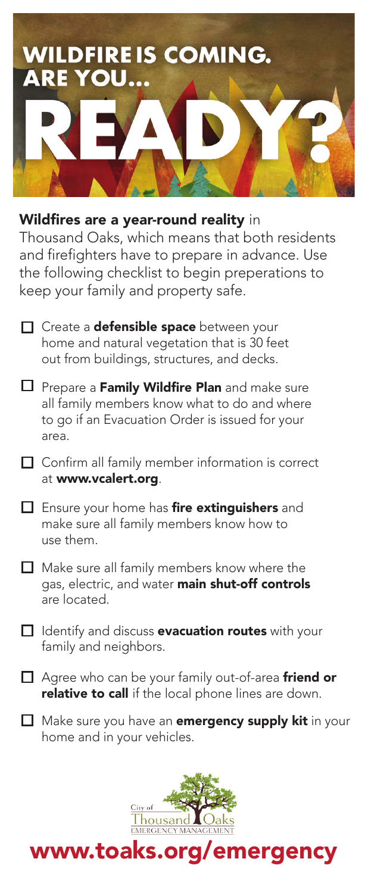

#### Wildfires are a year-round reality in

Thousand Oaks, which means that both residents and firefighters have to prepare in advance. Use the following checklist to begin preperations to keep your family and property safe.

- Create a **defensible space** between your home and natural vegetation that is 30 feet out from buildings, structures, and decks.
- Prepare a Family Wildfire Plan and make sure all family members know what to do and where to go if an Evacuation Order is issued for your area.
- □ Confirm all family member information is correct at www.vcalert.org.
- Ensure your home has **fire extinguishers** and make sure all family members know how to use them.
- $\Box$  Make sure all family members know where the gas, electric, and water **main shut-off controls** are located.
- Identify and discuss **evacuation routes** with your family and neighbors.
- Agree who can be your family out-of-area **friend or** relative to call if the local phone lines are down.
- Make sure you have an **emergency supply kit** in your home and in your vehicles.